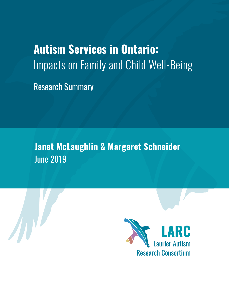# **Autism Services in Ontario:**  Impacts on Family and Child Well-Being

Research Summary

**Janet McLaughlin & Margaret Schneider** June 2019



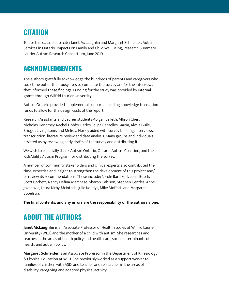## **CITATION**

To use this data, please cite: Janet McLaughlin and Margaret Schneider, Autism Services in Ontario: Impacts on Family and Child Well-Being, Research Summary, Laurier Autism Research Consortium, June 2019.

## **ACKNOWLEDGEMENTS**

The authors gratefully acknowledge the hundreds of parents and caregivers who took time out of their busy lives to complete the survey and/or the interviews that informed these findings. Funding for the study was provided by internal grants through Wilfrid Laurier University.

Autism Ontario provided supplemental support, including knowledge translation funds to allow for the design costs of the report.

Research Assistants and Laurier students Abigail Belleth, Allison Chen, Nicholas Denomey, Rachel Dobbs, Carlos Felipe Centelles García, Alycia Guile, Bridget Livingstone, and Melissa Norley aided with survey building, interviews, transcription, literature review and data analysis. Many groups and individuals assisted us by reviewing early drafts of the survey and distributing it.

We wish to especially thank Autism Ontario, Ontario Autism Coalition, and the KidsAbility Autism Program for distributing the survey.

A number of community stakeholders and clinical experts also contributed their time, expertise and insight to strengthen the development of this project and/ or review its recommendations. These include: Nicole Bardikoff, Louis Busch, Scott Corbett, Nancy Defina-Marchese, Sharon Gabison, Stephen Gentles, Anne Jovanovic, Laura Kirby-McIntosh, Julie Koudys, Mike Moffatt, and Margaret Spoelstra.

**The final contents, and any errors are the responsibility of the authors alone.** 

## **ABOUT THE AUTHORS**

**Janet McLaughlin** is an Associate Professor of Health Studies at Wilfrid Laurier University (WLU) and the mother of a child with autism. She researches and teaches in the areas of health policy and health care, social determinants of health, and autism policy.

**Margaret Schneider** is an Associate Professor in the Department of Kinesiology & Physical Education at WLU. She previously worked as a support worker to families of children with ASD, and teaches and researches in the areas of disability, caregiving and adapted physical activity.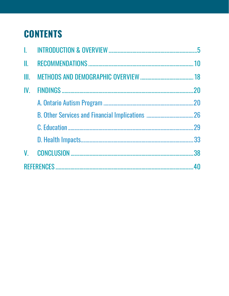## **CONTENTS**

| Ш.       |     |
|----------|-----|
| III. -   |     |
| $IV_{-}$ | .20 |
|          |     |
|          |     |
|          |     |
|          |     |
|          |     |
|          |     |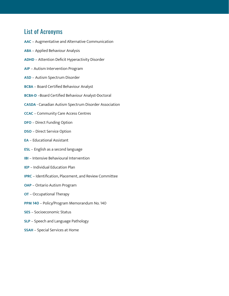## List of Acronyms

- **AAC**  Augmentative and Alternative Communication **ABA** – Applied Behaviour Analysis **ADHD** – Attention Deficit Hyperactivity Disorder **AIP** – Autism Intervention Program **ASD** – Autism Spectrum Disorder
- **BCBA**  Board Certified Behaviour Analyst
- **BCBA-D** –Board Certified Behaviour Analyst-Doctoral
- **CASDA**  Canadian Autism Spectrum Disorder Association
- **CCAC**  Community Care Access Centres
- **DFO**  Direct Funding Option
- **DSO**  Direct Service Option
- **EA**  Educational Assistant
- **ESL**  English as a second language
- **IBI**  Intensive Behavioural Intervention
- **IEP**  Individual Education Plan
- **IPRC**  Identification, Placement, and Review Committee
- **OAP**  Ontario Autism Program
- **OT**  Occupational Therapy
- **PPM 140** Policy/Program Memorandum No. 140
- **SES**  Socioeconomic Status
- **SLP**  Speech and Language Pathology
- **SSAH**  Special Services at Home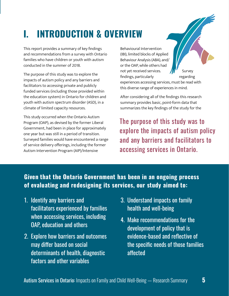# <span id="page-4-0"></span>**I. INTRODUCTION & OVERVIEW**

This report provides a summary of key findings and recommendations from a survey with Ontario families who have children or youth with autism conducted in the summer of 2018.

The purpose of this study was to explore the impacts of autism policy and any barriers and facilitators to accessing private and publicly funded services (including those provided within the education system) in Ontario for children and youth with autism spectrum disorder (ASD), in a climate of limited capacity resources.

This study occurred when the Ontario Autism Program (OAP), as devised by the former Liberal Government, had been in place for approximately one year but was still in a period of transition. Surveyed families would have encountered a range of service delivery offerings, including the former Autism Intervention Program (AIP)/Intensive

Behavioural Intervention (IBI), limited blocks of Applied Behaviour Analysis (ABA), and/ or the OAP, while others had not yet received services.  $\sqrt{N'}$  Survey findings, particularly regarding

experiences accessing services, must be read with this diverse range of experiences in mind.

After considering all of the findings this research summary provides basic, point-form data that summarizes the key findings of the study for the

The purpose of this study was to explore the impacts of autism policy and any barriers and facilitators to accessing services in Ontario.

## **Given that the Ontario Government has been in an ongoing process of evaluating and redesigning its services, our study aimed to:**

- 1. Identify any barriers and facilitators experienced by families when accessing services, including OAP, education and others
- 2. Explore how barriers and outcomes may differ based on social determinants of health, diagnostic factors and other variables
- 3. Understand impacts on family health and well-being
- 4. Make recommendations for the development of policy that is evidence-based and reflective of the specific needs of those families affected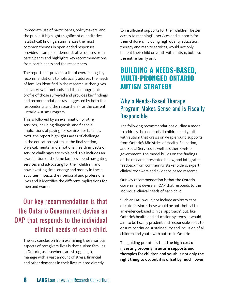immediate use of participants, policymakers, and the public. It highlights significant quantitative (statistical) findings, summarizes the most common themes in open-ended responses, provides a sample of demonstrative quotes from participants and highlights key recommendations from participants and the researchers.

The report first provides a list of overarching key recommendations to holistically address the needs of families identified in the research. It then gives an overview of methods and the demographic profile of those surveyed and provides key findings and recommendations (as suggested by both the respondents and the researchers) for the current Ontario Autism Program.

This is followed by an examination of other services, including diagnosis, and financial implications of paying for services for families. Next, the report highlights areas of challenge in the education system. In the final section, physical, mental and emotional health impacts of service challenges are explained. This includes an examination of the time families spend navigating services and advocating for their children, and how investing time, energy and money in these activities impacts their personal and professional lives and it identifies the different implications for men and women.

## Our key recommendation is that the Ontario Government devise an OAP that responds to the individual clinical needs of each child.

The key conclusion from examining these various aspects of caregivers' lives is that autism families in Ontario, as elsewhere, are struggling to manage with a vast amount of stress, financial and other demands in their lives related directly

to insufficient supports for their children. Better access to meaningful services and supports for their children, including high quality education, therapy and respite services, would not only benefit their child or youth with autism, but also the entire family unit.

## **BUILDING A NEEDS-BASED, MULTI-PRONGED ONTARIO AUTISM STRATEGY**

## Why a Needs-Based Therapy Program Makes Sense and is Fiscally Responsible

The following recommendations outline a model to address the needs of all children and youth with autism that draws on wrap-around supports from Ontario's Ministries of Health, Education, and Social Services as well as other levels of government. The model builds on the findings of the research presented below, and integrates feedback from community stakeholders, expert clinical reviewers and evidence-based research.

Our key recommendation is that the Ontario Government devise an OAP that responds to the individual clinical needs of each child.

Such an OAP would not include arbitrary caps or cutoffs, since these would be antithetical to an evidence-based clinical approach<sup>1</sup>, but, like Ontario's health and education systems, it would aim to be fiscally prudent and responsible so as to ensure continued sustainability and inclusion of all children and youth with autism in Ontario.

The guiding premise is that **the high cost of investing properly in autism supports and therapies for children and youth is not only the right thing to do, but it is offset by much lower**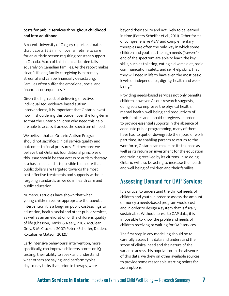#### **costs for public services throughout childhood and into adulthood.**

A recent University of Calgary report estimates that it costs \$5.5 million over a lifetime to care for an autistic person requiring constant support in Canada. Much of this financial burden falls squarely on Canadian families. As the report makes clear, "Lifelong family caregiving is extremely stressful and can be financially devastating. Families often suffer the emotional, social and financial consequences."<sup>2</sup>

Given the high cost of delivering effective, individualized, evidence-based autism interventions<sup>3</sup>, it is important that Ontario invest now in shouldering this burden over the long-term so that the Ontario children who need this help are able to access it across the spectrum of need.

We believe that an Ontario Autism Program should not sacrifice clinical service quality and outcomes to fiscal pressures. Furthermore we believe that Ontario's foundational principles on this issue should be that access to autism therapy is a basic need and it is possible to ensure that public dollars are targeted towards the most cost-effective treatments and supports without forgoing standards, as we do in health care and public education.

Numerous studies have shown that when young children receive appropriate therapeutic intervention it is a long-run public cost-savings to education, health, social and other public services, as well as an amelioration of the children's quality of life (Chasson, Harris, & Neely, 2007; McClean, Grey, & McCracken, 2007; Peters-Scheffer, Didden, Korzilius, & Matson, 2012).4

Early intensive behavioural intervention, more specifically, can improve children's scores on IQ testing, their ability to speak and understand what others are saying, and perform typical day-to-day tasks that, prior to therapy, were

beyond their ability and not likely to be learned in time (Peters-Scheffer et al., 2011). Other forms of comprehensive ABA<sup>5</sup> and complementary therapies are often the only way in which some children and youth at the high needs ("severe") end of the spectrum are able to learn the key skills, such as toileting, eating a diverse diet, basic communication, safety, and self-help skills, that they will need in life to have even the most basic levels of independence, dignity, health and wellbeing.<sup>6</sup>

Providing needs-based services not only benefits children, however. As our research suggests, doing so also improves the physical health, mental health, well-being and productivity of their families and unpaid caregivers. In order to provide essential supports in the absence of adequate public programming, many of them have had to quit or downgrade their jobs, or work part-time. By enabling parents to return to the workforce, Ontario can maximize its tax-base as well as its return on investment for the education and training received by its citizens. In so doing, Ontario will also be acting to increase the health and well-being of children and their families.

### Assessing Demand for OAP Services

It is critical to understand the clinical needs of children and youth in order to assess the amount of money a needs-based program would cost and in order to design a system that is fiscally sustainable. Without access to OAP data, it is impossible to know the profile and needs of children receiving or waiting for OAP services.

The first step in any modelling should be to carefully assess this data and understand the scope of clinical need and the nature of the variance across this population. In the absence of this data, we drew on other available sources to provide some reasonable starting points for assumptions.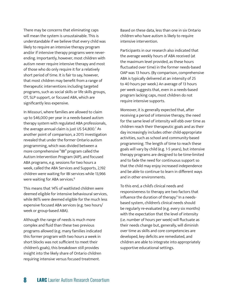There may be concerns that eliminating caps will mean the system is unsustainable. This is understandable if we believe that every child was likely to require an intensive therapy program and/or if intensive therapy programs were neverending. Importantly, however, most children with autism never require intensive therapy and most of those who do only require it for a relatively short period of time. It is fair to say, however, that most children may benefit from a range of therapeutic interventions including targeted programs, such as social skills or life skills groups, OT, SLP support, or focused ABA, which are significantly less expensive.

In Missouri, where families are allowed to claim up to \$46,000 per year in a needs-based autism therapy system with regulated ABA professionals, the average annual claim is just US \$4,800.7 As another point of comparison, a 2015 investigation revealed that under the former Ontario autism programming, which was divided between a more comprehensive "IBI" program called the Autism Intervention Program (AIP), and focused ABA programs, e.g. sessions for two hours a week, called the ABA Services and Supports, 2,192 children were waiting for IBI services while 13,966 were waiting for ABA services.<sup>8</sup>

This means that 14% of waitlisted children were deemed eligible for intensive behavioural services, while 86% were deemed eligible for the much less expensive focused ABA services (e.g. two hours/ week or group-based ABA).

Although the range of needs is much more complex and fluid than these two previous programs allowed (e.g. many families indicated this former program with two hours a week in short blocks was not sufficient to meet their children's goals), this breakdown still provides insight into the likely share of Ontario children requiring intensive versus focused treatment.

Based on these data, less than one in six Ontario children who have autism is likely to require intensive intervention.

Participants in our research also indicated that the average weekly hours of ABA received (at the maximum level provided, as these hours fluctuated over time) in the former needs-based OAP was 13 hours. (By comparison, comprehensive ABA is typically delivered at an intensity of 25 to 40 hours per week.) An average of 13 hours per week suggests that, even in a needs-based program lacking caps, most children do not require intensive supports.

Moreover, it is generally expected that, after receiving a period of intensive therapy, the need for the same level of intensity will ebb over time as children reach their therapeutic goals and as their day increasingly includes other child-appropriate activities, such as school and community-based programming. The length of time to reach these goals will vary by child (e.g. 1-5 years), but intensive therapy programs are designed to be time-limited and to fade the need for continuous support so that the child may enjoy increased independence and be able to continue to learn in different ways and in other environments.

To this end, a child's clinical needs and responsiveness to therapy are two factors that influence the duration of therapy.<sup>9</sup> In a needsbased system, children's clinical needs should be regularly re-evaluated (e.g. every six months) with the expectation that the level of intensity (i.e. number of hours per week) will fluctuate as their needs change but, generally, will diminish over time as skills and core competencies are developed, key deficits are remediated, and children are able to integrate into appropriately supportive educational settings.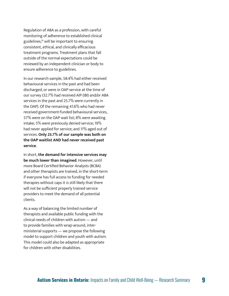Regulation of ABA as a profession, with careful monitoring of adherence to established clinical guidelines,<sup>10</sup> will be important to ensuring consistent, ethical, and clinically efficacious treatment programs. Treatment plans that fall outside of the normal expectations could be reviewed by an independent clinician or body to ensure adherence to guidelines.

In our research sample, 58.4% had either received behavioural services in the past and had been discharged, or were in OAP service at the time of our survey (32.7% had received AIP (IBI) and/or ABA services in the past and 25.7% were currently in the OAP). Of the remaining 41.6% who had never received government-funded behavioural services, 57% were on the OAP wait list; 8% were awaiting intake; 5% were previously denied service; 19% had never applied for service; and 11% aged out of services. **Only 23.7% of our sample was both on the OAP waitlist AND had never received past service** .

In short, **the demand for intensive services may be much lower than imagined**. However, until more Board Certified Behavior Analysts (BCBA) and other therapists are trained, in the short-term if everyone has full access to funding for needed therapies without caps it is still likely that there will not be sufficient properly trained service providers to meet the demand of all potential clients.

As a way of balancing the limited number of therapists and available public funding with the clinical needs of children with autism — and to provide families with wrap-around, interministerial supports — we propose the following model to support children and youth with autism. This model could also be adapted as appropriate for children with other disabilities.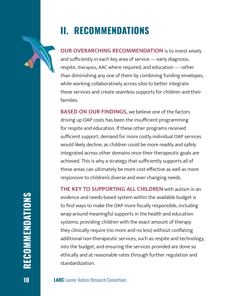## <span id="page-9-0"></span>**II. RECOMMENDATIONS**

**OUR OVERARCHING RECOMMENDATION** is to invest wisely and sufficiently in each key area of service — early diagnosis, respite, therapies, AAC where required, and education — rather than diminishing any one of them by combining funding envelopes, while working collaboratively across silos to better integrate these services and create seamless supports for children and their families.

**BASED ON OUR FINDINGS,** we believe one of the factors driving up OAP costs has been the insufficient programming for respite and education. If these other programs received sufficient support, demand for more costly individual OAP services would likely decline, as children could be more readily and safely integrated across other domains once their therapeutic goals are achieved. This is why a strategy that sufficiently supports all of these areas can ultimately be more cost-effective as well as more responsive to children's diverse and ever-changing needs.

**THE KEY TO SUPPORTING ALL CHILDREN** with autism in an evidence and needs-based system within the available budget is to find ways to make the OAP more fiscally responsible, including wrap-around meaningful supports in the health and education systems; providing children with the exact amount of therapy they clinically require (no more and no less) without conflating additional non-therapeutic services, such as respite and technology, into the budget; and ensuring the services provided are done so ethically and at reasonable rates through further regulation and standardization.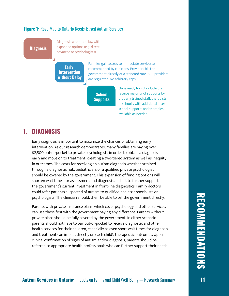#### **Figure 1:** Road Map to Ontario Needs-Based Autism Services

**Diagnosis**

Diagnosis without delay, with expanded options (e.g. direct payment to psychologists).

**Early Intervention Without Delay** Families gain access to immediate services as recommended by clinicians. Providers bill the government directly at a standard rate. ABA providers are regulated. No arbitrary caps.

**School Supports**

Once ready for school, children receive majority of supports by properly trained staff/therapists in schools, with additional afterschool supports and therapies available as needed.

## **1. DIAGNOSIS**

Early diagnosis is important to maximize the chances of obtaining early intervention. As our research demonstrates, many families are paying over \$2,500 out-of-pocket to private psychologists in order to obtain a diagnosis early and move on to treatment, creating a two-tiered system as well as inequity in outcomes. The costs for receiving an autism diagnosis whether attained through a diagnostic hub, pediatrician, or a qualified private psychologist should be covered by the government. This expansion of funding options will shorten wait times for assessment and diagnosis and act to further support the government's current investment in front-line diagnostics. Family doctors could refer patients suspected of autism to qualified pediatric specialists or psychologists. The clinician should, then, be able to bill the government directly.

Parents with private insurance plans, which cover psychology and other services, can use these first with the government paying any difference. Parents without private plans should be fully covered by the government. In either scenario parents should not have to pay out-of-pocket to receive diagnostic and other health services for their children, especially as even short wait times for diagnosis and treatment can impact directly on each child's therapeutic outcomes. Upon clinical confirmation of signs of autism and/or diagnosis, parents should be referred to appropriate health professionals who can further support their needs.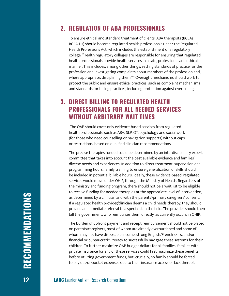## **2. REGULATION OF ABA PROFESSIONALS**

To ensure ethical and standard treatment of clients, ABA therapists (BCBAs, BCBA-Ds) should become regulated health professionals under the Regulated Health Professions Act, which includes the establishment of a regulatory college. "Health regulatory colleges are responsible for ensuring that regulated health professionals provide health services in a safe, professional and ethical manner. This includes, among other things, setting standards of practice for the profession and investigating complaints about members of the profession and, where appropriate, disciplining them."<sup>11</sup> Oversight mechanisms should work to protect the public and ensure ethical practices, such as complaint mechanisms and standards for billing practices, including protection against over-billing.

## **3. DIRECT BILLING TO REGULATED HEALTH PROFESSIONALS FOR ALL NEEDED SERVICES WITHOUT ARBITRARY WAIT TIMES**

 The OAP should cover only evidence-based services from regulated health professionals, such as ABA, SLP, OT, psychology and social work (for those who need counselling or navigation supports) without caps or restrictions, based on qualified clinician recommendations.

The precise therapies funded could be determined by an interdisciplinary expert committee that takes into account the best available evidence and families' diverse needs and experiences. In addition to direct treatment, supervision and programming hours, family training to ensure generalization of skills should be included in potential billable hours. Ideally, these evidence-based, regulated services would move under OHIP, through the Ministry of Health. Regardless of the ministry and funding program, there should not be a wait list to be eligible to receive funding for needed therapies at the appropriate level of intervention, as determined by a clinician and with the parents'/primary caregivers' consent. If a regulated health provider/clinician deems a child needs therapy, they should provide an immediate referral to a specialist in the field. The provider should then bill the government, who reimburses them directly, as currently occurs in OHIP.

The burden of upfront payment and receipt reimbursement should not be placed on parents/caregivers, most of whom are already overburdened and some of whom may not have disposable income, strong English/French skills, and/or financial or bureaucratic literacy to successfully navigate these systems for their children. To further maximize OAP budget dollars for all families, families with private insurance for any of these services could first maximize these benefits before utilizing government funds, but, crucially, no family should be forced to pay out-of-pocket expenses due to their insurance access or lack thereof.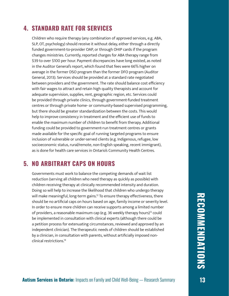## **4. STANDARD RATE FOR SERVICES**

Children who require therapy (any combination of approved services, e.g. ABA, SLP, OT, psychology) should receive it without delay, either through a directly funded government-to-provider OAP, or through OHIP cards if the program changes ministries. Currently, reported charges for ABA therapy range from \$39 to over \$100 per hour. Payment discrepancies have long existed, as noted in the Auditor General's report, which found that fees were 66% higher on average in the former DSO program than the former DFO program (Auditor General, 2013). Services should be provided at a standard rate negotiated between providers and the government. The rate should balance cost efficiency with fair wages to attract and retain high quality therapists and account for adequate supervision, supplies, rent, geographic region, etc. Services could be provided through private clinics, through government-funded treatment centres or through private home- or community-based supervised programming, but there should be greater standardization between the costs. This would help to improve consistency in treatment and the efficient use of funds to enable the maximum number of children to benefit from therapy. Additional funding could be provided to government-run treatment centres or grants made available for the specific goal of running targeted programs to ensure inclusion of vulnerable or under-served clients (e.g. Indigenous, refugee, low socioeconomic status, rural/remote, non-English speaking, recent immigrant), as is done for health care services in Ontario's Community Health Centres.

## **5. NO ARBITRARY CAPS ON HOURS**

Governments must work to balance the competing demands of wait list reduction (serving all children who need therapy as quickly as possible) with children receiving therapy at clinically recommended intensity and duration. Doing so will help to increase the likelihood that children who undergo therapy will make meaningful, long-term gains.<sup>12</sup> To ensure therapy effectiveness, there should be no artificial caps on hours based on age, family income or severity level. In order to ensure more children can receive supports among a limited number of providers, a reasonable maximum cap (e.g. 36 weekly therapy hours)<sup>13</sup> could be implemented in consultation with clinical experts (although there could be a petition process for extenuating circumstances, reviewed and approved by an independent clinician). The therapeutic needs of children should be established by a clinician, in consultation with parents, without artificially imposed nonclinical restrictions.14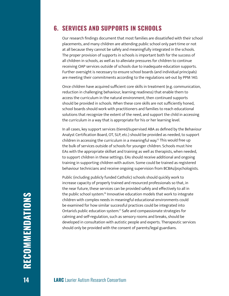### **6. SERVICES AND SUPPORTS IN SCHOOLS**

Our research findings document that most families are dissatisfied with their school placements, and many children are attending public school only part-time or not at all because they cannot be safely and meaningfully integrated in the schools. The proper provision of supports in schools is important both for the success of all children in schools, as well as to alleviate pressures for children to continue receiving OAP services outside of schools due to inadequate education supports. Further oversight is necessary to ensure school boards (and individual principals) are meeting their commitments according to the regulations set-out by PPM 140.

Once children have acquired sufficient core skills in treatment (e.g. communication, reduction in challenging behaviour, learning readiness) that enable them to access the curriculum in the natural environment, then continued supports should be provided in schools. When these core skills are not sufficiently honed, school boards should work with practitioners and families to reach educational solutions that recognize the extent of the need, and support the child in accessing the curriculum in a way that is appropriate for his or her learning level.

In all cases, key support services (tiered/supervised ABA as defined by the Behaviour Analyst Certification Board, OT, SLP, etc.) should be provided as needed, to support children in accessing the curriculum in a meaningful way.<sup>15</sup> This would free up the bulk of services outside of schools for younger children. Schools must hire EAs with the appropriate skillset and training as well as therapists, when needed, to support children in these settings. EAs should receive additional and ongoing training in supporting children with autism. Some could be trained as registered behaviour technicians and receive ongoing supervision from BCBAs/psychologists.

Public (including publicly funded Catholic) schools should quickly work to increase capacity of properly trained and resourced professionals so that, in the near future, these services can be provided safely and effectively to all in the public school system.<sup>16</sup> Innovative education models that work to integrate children with complex needs in meaningful educational environments could be examined for how similar successful practices could be integrated into Ontario's public education system.17 Safe and compassionate strategies for calming and self-regulation, such as sensory rooms and breaks, should be developed in consultation with autistic people and experts. Therapeutic services should only be provided with the consent of parents/legal guardians.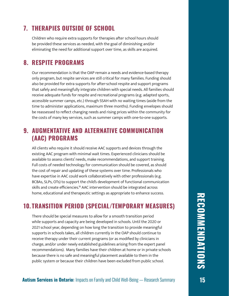## **7. THERAPIES OUTSIDE OF SCHOOL**

Children who require extra supports for therapies after school hours should be provided these services as needed, with the goal of diminishing and/or eliminating the need for additional support over time, as skills are acquired.

## **8. RESPITE PROGRAMS**

Our recommendation is that the OAP remain a needs and evidence-based therapy only program, but respite services are still critical for many families. Funding should also be provided for extra supports for after-school respite and support programs that safely and meaningfully integrate children with special needs. All families should receive adequate funds for respite and recreational programs (e.g. adapted sports, accessible summer camps, etc.) through SSAH with no waiting times (aside from the time to administer applications, maximum three months). Funding envelopes should be reassessed to reflect changing needs and rising prices within the community for the costs of many key services, such as summer camps with one-to-one supports.

## **9. AUGMENTATIVE AND ALTERNATIVE COMMUNICATION (AAC) PROGRAMS**

All clients who require it should receive AAC supports and devices through the existing AAC program with minimal wait times. Experienced clinicians should be available to assess clients' needs, make recommendations, and support training. Full costs of needed technology for communication should be covered, as should the cost of repair and updating of these systems over time. Professionals who have expertise in AAC could work collaboratively with other professionals (e.g. BCBAs, SLPs, OTs) to support the child's development of functional communication skills and create efficiencies.<sup>18</sup> AAC intervention should be integrated across home, educational and therapeutic settings as appropriate to enhance success.

## **10. TRANSITION PERIOD (SPECIAL/TEMPORARY MEASURES)**

There should be special measures to allow for a smooth transition period while supports and capacity are being developed in schools. Until the 2020 or 2021 school year, depending on how long the transition to provide meaningful supports in schools takes, all children currently in the OAP should continue to receive therapy under their current programs (or as modified by clinicians in charge, and/or under newly established guidelines arising from the expert panel recommendations). Many families have their children at home or in private schools because there is no safe and meaningful placement available to them in the public system or because their children have been excluded from public school.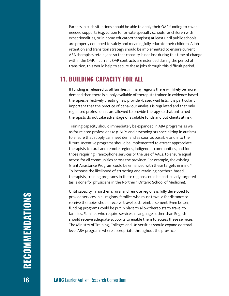Parents in such situations should be able to apply their OAP funding to cover needed supports (e.g. tuition for private specialty schools for children with exceptionalities, or in home educator/therapists) at least until public schools are properly equipped to safely and meaningfully educate their children. A job retention and transition strategy should be implemented to ensure current ABA therapists retain jobs so that capacity is not lost during this time of change within the OAP. If current OAP contracts are extended during the period of transition, this would help to secure these jobs through this difficult period.

### **11. BUILDING CAPACITY FOR ALL**

If funding is released to all families, in many regions there will likely be more demand than there is supply available of therapists trained in evidence-based therapies, effectively creating new provider-based wait lists. It is particularly important that the practice of behaviour analysis is regulated and that only regulated professionals are allowed to provide therapy so that untrained therapists do not take advantage of available funds and put clients at risk.

Training capacity should immediately be expanded in ABA programs as well as for related professions (e.g. SLPs and psychologists specializing in autism) to ensure that supply can meet demand as soon as possible and into the future. Incentive programs should be implemented to attract appropriate therapists to rural and remote regions, Indigenous communities, and for those requiring Francophone services or the use of AACs, to ensure equal access for all communities across the province. For example, the existing Grant Assistance Program could be enhanced with these targets in mind.19 To increase the likelihood of attracting and retaining northern-based therapists, training programs in these regions could be particularly targeted (as is done for physicians in the Northern Ontario School of Medicine).

Until capacity in northern, rural and remote regions is fully developed to provide services in all regions, families who must travel a far distance to receive therapies should receive travel cost reimbursement. Even better, funding programs could be put in place to allow therapists to travel to families. Families who require services in languages other than English should receive adequate supports to enable them to access these services. The Ministry of Training, Colleges and Universities should expand doctoral level ABA programs where appropriate throughout the province.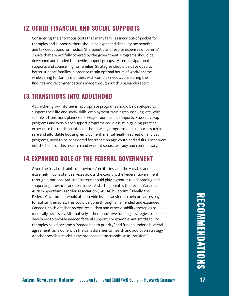## **12. OTHER FINANCIAL AND SOCIAL SUPPORTS**

Considering the enormous costs that many families incur out-of-pocket for therapies and supports, there should be expanded disability tax benefits and tax deductions for medical/therapeutic and respite expenses of parents' choice that are not fully covered by the government. Programs should be developed and funded to provide support groups, system navigational supports and counselling for families. Strategies should be developed to better support families in order to retain optimal hours of work/income while caring for family members with complex needs, considering the findings and recommendations made throughout this research report.

### **13. TRANSITIONS INTO ADULTHOOD**

As children grow into teens, appropriate programs should be developed to support their life and social skills, employment training/counselling, etc., with seamless transitions planned for wrap-around adult supports. Student co-op programs and workplace support programs could assist in gaining practical experience to transition into adulthood. Many programs and supports, such as safe and affordable housing, employment, mental health, recreation and day programs, need to be considered for transition age youth and adults. These were not the focus of this research and warrant separate study and commentary.

### **14. EXPANDED ROLE OF THE FEDERAL GOVERNMENT**

Given the fiscal restraints of provinces/territories, and the variable and extremely inconsistent services across the country, the Federal Government through a National Autism Strategy should play a greater role in leading and supporting provinces and territories. A starting point is the recent Canadian Autism Spectrum Disorder Association (CASDA) blueprint.<sup>20</sup> Ideally, the Federal Government would also provide fiscal transfers to help provinces pay for autism therapies. This could be done through an amended and expanded Canada Health Act that recognizes autism and other disability therapies as medically necessary. Alternatively, other innovative funding strategies could be developed to provide needed federal support. For example, autism/disability therapies could become a "shared health priority" and funded under a bilateral agreement, as is done with the Canadian mental health and addiction strategy.<sup>21</sup> Another possible model is the proposed Catastrophic Drug Transfer.<sup>22</sup>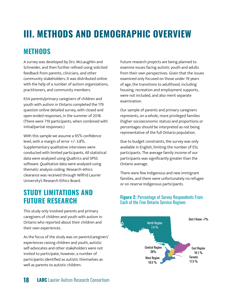## <span id="page-17-0"></span>**III. METHODS AND DEMOGRAPHIC OVERVIEW**

## **METHODS**

A survey was developed by Drs. McLaughlin and Schneider, and then further refined using solicited feedback from parents, clinicians, and other community stakeholders. It was distributed online with the help of a number of autism organizations, practitioners, and community members.

654 parents/primary caregivers of children and youth with autism in Ontario completed the 179 question online detailed survey, with closed and open-ended responses, in the summer of 2018. (There were 719 participants, when combined with initial/partial responses.)

With this sample we assume a 95% confidence level, with a margin of error +/- 3.8%. Supplementary qualitative interviews were conducted with limited participants. All statistical data were analyzed using Qualtrics and SPSS software. Qualitative data were analyzed using thematic analysis coding. Research ethics clearance was received through Wilfrid Laurier University's Research Ethics Board.

## **STUDY LIMITATIONS AND FUTURE RESEARCH**

This study only involved parents and primary caregivers of children and youth with autism in Ontario who reported about their children and their own experiences.

As the focus of the study was on parent/caregivers' experiences raising children and youth, autistic self-advocates and other stakeholders were not invited to participate, however, a number of participants identified as autistic themselves as well as parents to autistic children.

Future research projects are being planned to examine issues facing autistic youth and adults from their own perspectives. Given that the issues examined only focused on those under 19 years of age, the transitions to adulthood, including housing, recreation and employment supports, were not included, and also merit separate examination.

Our sample of parents and primary caregivers represents, on a whole, more privileged families (higher socioeconomic status) and proportions or percentages should be interpreted as not being representative of the full Ontario population.

Due to budget constraints, the survey was only available in English, limiting the number of ESL participants. The average family income of our participants was significantly greater than the Ontario average.

There were few Indigenous and new immigrant families, and there were unfortunately no refugee or on reserve Indigenous participants.

#### **Figure 2:** Percentage of Survey Respondents From Each of the Five Ontario Service Regions

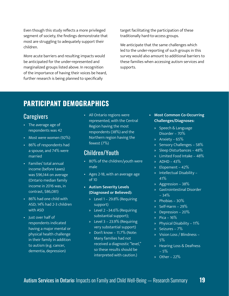Even though this study reflects a more privileged segment of society, the findings demonstrate that most are struggling to adequately support their children.

More acute barriers and resulting impacts would be anticipated for the under-represented and marginalized groups listed above. In recognition of the importance of having their voices be heard, further research is being planned to specifically

target facilitating the participation of these traditionally hard-to-access groups.

We anticipate that the same challenges which led to the under-reporting of such groups in this survey would also amount to additional barriers to these families when accessing autism services and supports.

## **PARTICIPANT DEMOGRAPHICS**

## **Caregivers**

- The average age of respondents was 42
- Most were women (92%)
- 86% of respondents had a spouse, and 74% were married
- Families' total annual income (before taxes) was \$96,144 on average (Ontario median family income in 2016 was, in contrast, \$86,081)
- 86% had one child with ASD; 14% had 2-3 children with ASD
- Just over half of respondents indicated having a major mental or physical health challenge in their family in addition to autism (e.g. cancer, dementia, depression)

• All Ontario regions were represented, with the Central Region having the most respondents (38%) and the Northern region having the fewest (7%)

## Children/Youth

- 80% of the children/youth were male
- Ages 2-18, with an average age of 10
- **• Autism Severity Levels (Diagnosed or Believed):** 
	- » Level 1 29.8% (Requiring support)
	- » Level 2 –34.6% (Requiring substantial support);
	- » Level 3 23.9% (Requiring very substantial support)
	- » Don't know 11.7% (Note: Many families had not received a diagnostic "level," so these results should be interpreted with caution.)
- **• Most Common Co-Occurring Challenges/Diagnoses:** 
	- » Speech & Language Disorder – 70%
	- $\overline{\bullet}$  Anxiety 65%
	- » Sensory Challenges 58%
	- » Sleep Disturbances 48%
	- » Limited Food Intake 48%
	- »  $ADHD 43\%$
	- » Elopement 42%
	- » Intellectual Disability 41%
	- » Aggression 38%
	- » Gastrointestinal Disorder  $-34%$
	- » Phobias 30%
	- » Self-Harm 29%
	- » Depression 20%
	- » Pica 16%
	- » Physical Disability 11%
	- » Seizures 7%
	- » Vision Loss / Blindness 5%
	- » Hearing Loss & Deafness – 5%
	- » Other 22%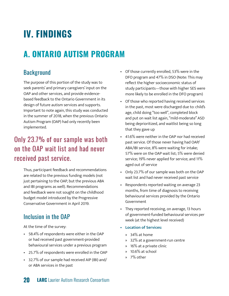## <span id="page-19-0"></span>**IV. FINDINGS**

## **A. ONTARIO AUTISM PROGRAM**

## **Background**

The purpose of this portion of the study was to seek parents' and primary caregivers' input on the OAP and other services, and provide evidencebased feedback to the Ontario Government in its design of future autism services and supports. Important to note again, this study was conducted in the summer of 2018, when the previous Ontario Autism Program (OAP) had only recently been implemented.

## Only 23.7% of our sample was both on the OAP wait list and had never received past service.

Thus, participant feedback and recommendations are related to the previous funding models (not just pertaining to the OAP, but the previous ABA and IBI programs as well). Recommendations and feedback were not sought on the childhood budget model introduced by the Progressive Conservative Government in April 2019.

## Inclusion in the OAP

At the time of the survey:

- 58.4% of respondents were either in the OAP or had received past government-provided behavioural services under a previous program
- 25.7% of respondents were enrolled in the OAP
- 32.7% of our sample had received AIP (IBI) and/ or ABA services in the past
- Of those currently enrolled, 53% were in the DFO program and 47% in DSO (Note: This may reflect the higher socioeconomic status of study participants—those with higher SES were more likely to be enrolled in the DFO program)
- Of those who reported having received services in the past, most were discharged due to: child's age, child doing "too well", completed block and put on wait list again, "mild-moderate" ASD being deprioritized, and waitlist being so long that they gave up
- 41.6% were neither in the OAP nor had received past service. Of those never having had OAP/ ABA/IBI service, 8% were waiting for intake; 57% were on the OAP wait list; 5% were denied service; 19% never applied for service; and 11% aged out of service
- Only 23.7% of our sample was both on the OAP wait list and had never received past service
- Respondents reported waiting on average 23 months, from time of diagnosis to receiving behavioural services provided by the Ontario Government
- They reported receiving, on average, 13 hours of government-funded behavioural services per week (at the highest level received)
- **• Location of Services:** 
	- » 34% at home
	- » 32% at a government-run centre
	- » 16% at a private clinic
	- » 10.6% at school
	- » 7% other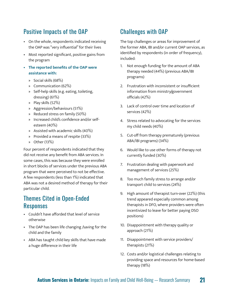## Positive Impacts of the OAP

- On the whole, respondents indicated receiving the OAP was "very influential" for their lives
- Most reported significant, positive gains from the program
- **• The reported benefits of the OAP were assistance with:** 
	- » Social skills (68%)
	- » Communication (62%)
	- » Self-help skills (e.g. eating, toileting, dressing) (61%)
	- » Play skills (52%)
	- » Aggression/behaviours (51%)
	- » Reduced stress on family (50%)
	- » Increased child's confidence and/or selfesteem (40%)
	- » Assisted with academic skills (40%)
	- » Provided a means of respite (33%)
	- » Other (13%)

Four percent of respondents indicated that they did not receive any benefit from ABA services. In some cases, this was because they were enrolled in short blocks of services under the previous ABA program that were perceived to not be effective. A few respondents (less than 1%) indicated that ABA was not a desired method of therapy for their particular child.

## Themes Cited in Open-Ended **Responses**

- Couldn't have afforded that level of service otherwise
- The OAP has been life changing /saving for the child and the family
- ABA has taught child key skills that have made a huge difference in their life

## Challenges with OAP

The top challenges or areas for improvement of the former ABA, IBI and/or current OAP services, as identified by respondents (in order of frequency), included:

- 1. Not enough funding for the amount of ABA therapy needed (44%) (previous ABA/IBI programs)
- 2. Frustration with inconsistent or insufficient information from ministry/government officials (42%)
- 3. Lack of control over time and location of services (42%)
- 4. Stress related to advocating for the services my child needs (40%)
- 5. Cut-off from therapy prematurely (previous ABA/IBI programs) (34%)
- 6. Would like to use other forms of therapy not currently funded (30%)
- 7. Frustration dealing with paperwork and management of services (25%)
- 8. Too much family stress to arrange and/or transport child to services (24%)
- 9. High amount of therapist turn-over (22%) (this trend appeared especially common among therapists in DFO, where providers were often incentivized to leave for better paying DSO positions)
- 10. Disappointment with therapy quality or approach (21%)
- 11. Disappointment with service providers/ therapists (21%)
- 12. Costs and/or logistical challenges relating to providing space and resources for home-based therapy (18%)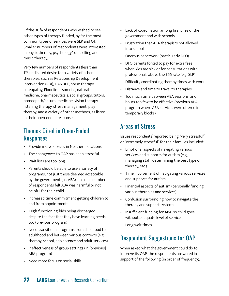Of the 30% of respondents who wished to see other types of therapy funded, by far the most common types of services were SLP and OT. Smaller numbers of respondents were interested in physiotherapy, psychology/counselling and music therapy.

Very few numbers of respondents (less than 1%) indicated desire for a variety of other therapies, such as Relationship Development Intervention (RDI), HANDLE, horse therapy, osteopathy, Floortime, son-rise, natural medicine, pharmaceuticals, social groups, tutors, homeopath/natural medicine, vision therapy, listening therapy, stress management, play therapy, and a variety of other methods, as listed in their open-ended responses.

## Themes Cited in Open-Ended Responses

- Provide more services in Northern locations
- The changeover to OAP has been stressful
- Wait lists are too long
- Parents should be able to use a variety of programs, not just those deemed acceptable by the government (i.e. ABA) – a small number of respondents felt ABA was harmful or not helpful for their child
- Increased time commitment getting children to and from appointments
- 'High-functioning' kids being discharged despite the fact that they have learning needs too (previous program)
- Need transitional programs from childhood to adulthood and between various contexts (e.g. therapy, school, adolescence and adult services)
- Ineffectiveness of group settings (in [previous] ABA program)
- Need more focus on social skills
- Lack of coordination among branches of the government and with schools
- Frustration that ABA therapists not allowed into schools
- Onerous paperwork (particularly DFO)
- DFO parents forced to pay for extra fees when kids are sick or for consultations with professionals above the \$55 rate (e.g. SLP)
- Difficulty coordinating therapy times with work
- Distance and time to travel to therapies
- Too much time between ABA sessions, and hours too few to be effective (previous ABA program where ABA services were offered in temporary blocks)

## Areas of Stress

Issues respondents' reported being "very stressful" or "extremely stressful" for their families included:

- Emotional aspects of navigating various services and supports for autism (e.g., managing staff, determining the best type of therapy, etc.)
- Time involvement of navigating various services and supports for autism
- Financial aspects of autism (personally funding various therapies and services)
- Confusion surrounding how to navigate the therapy and support systems
- Insufficient funding for ABA, so child goes without adequate level of service
- Long wait times

## Respondent Suggestions for OAP

When asked what the government could do to improve its OAP, the respondents answered in support of the following (in order of frequency):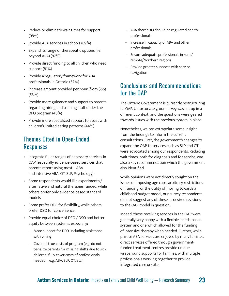- Reduce or eliminate wait times for support  $(98%)$
- Provide ABA services in schools (89%)
- Expand its range of therapeutic options (i.e. beyond ABA) (87%)
- Provide direct funding to all children who need support (81%)
- Provide a regulatory framework for ABA professionals in Ontario (57%)
- Increase amount provided per hour (from \$55) (53%)
- Provide more guidance and support to parents regarding hiring and training staff under the DFO program (48%)
- Provide more specialized support to assist with children's limited eating patterns (44%)

## Themes Cited in Open-Ended Responses

- Integrate fuller ranges of necessary services in OAP (especially evidence-based services that parents report using most—ABA and intensive ABA, OT, SLP, Psychology)
- Some respondents would like experimental/ alternative and natural therapies funded, while others prefer only evidence-based standard models
- Some prefer DFO for flexibility, while others prefer DSO for convenience
- Provide equal choice of DFO / DSO and better equity between systems, especially:
	- ‑ More support for DFO, including assistance with billing
	- ‑ Cover all true costs of program (e.g. do not penalize parents for missing shifts due to sick children; fully cover costs of professionals needed – e.g. ABA, SLP, OT, etc.)
- ‑ ABA therapists should be regulated health professionals
- ‑ Increase in capacity of ABA and other professionals
- ‑ Ensure adequate professionals in rural/ remote/Northern regions
- ‑ Provide greater supports with service navigation

## Conclusions and Recommendations for the OAP

The Ontario Government is currently restructuring its OAP. Unfortunately, our survey was set up in a different context, and the questions were geared towards issues with the previous system in place.

Nonetheless, we can extrapolate some insight from the findings to inform the current consultations. First, the government's changes to expand the OAP to services such as SLP and OT were advocated among our respondents. Reducing wait times, both for diagnosis and for service, was also a key recommendation which the government also identified.

While opinions were not directly sought on the issues of imposing age caps, arbitrary restrictions on funding, or the utility of moving towards a childhood budget model, our survey respondents did not suggest any of these as desired revisions to the OAP model in question.

Indeed, those receiving services in the OAP were generally very happy with a flexible, needs-based system and one which allowed for the funding of intensive therapy when needed. Further, while private ABA services are enjoyed by many families, direct services offered through governmentfunded treatment centres provide unique wraparound supports for families, with multiple professionals working together to provide integrated care on-site.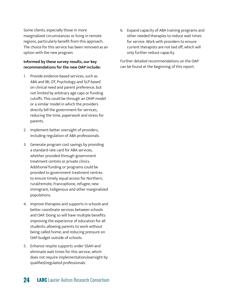Some clients, especially those in more marginalized circumstances or living in remote regions, particularly benefit from this approach. The choice for this service has been removed as an option with the new program.

#### **Informed by these survey results, our key recommendations for the new OAP include:**

- 1. Provide evidence-based services, such as ABA and IBI, OT, Psychology and SLP based on clinical need and parent preference, but not limited by arbitrary age caps or funding cutoffs. This could be through an OHIP model or a similar model in which the providers directly bill the government for services, reducing the time, paperwork and stress for parents.
- 2. Implement better oversight of providers, including regulation of ABA professionals.
- 3. Generate program cost savings by providing a standard rate card for ABA services, whether provided through government treatment centres or private clinics. Additional funding or programs could be provided to government treatment centres to ensure timely, equal access for Northern, rural/remote, Francophone, refugee, new immigrant, Indigenous and other marginalized populations.
- 4. Improve therapies and supports in schools and better coordinate services between schools and OAP. Doing so will have multiple benefits: improving the experience of education for all students; allowing parents to work without being called home; and reducing pressure on OAP budget outside of schools.
- 5. Enhance respite supports under SSAH and eliminate wait times for this service, which does not require implementation/oversight by qualified/regulated professionals.

6. Expand capacity of ABA training programs and other needed therapies to reduce wait times for service. Work with providers to ensure current therapists are not laid off, which will only further reduce capacity.

Further detailed recommendations on the OAP can be found at the beginning of this report.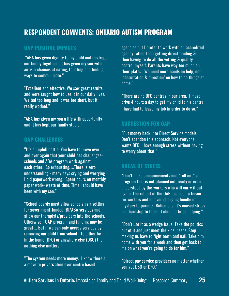## **RESPONDENT COMMENTS: ONTARIO AUTISM PROGRAM**

#### **OAP POSITIVE IMPACTS**

 "ABA has given dignity to my child and has kept our family together. It has given my son with autism chances at eating, toileting and finding ways to communicate."

"Excellent and effective. We saw great results and were taught how to use it in our daily lives. Waited too long and it was too short, but it really worked."

"ABA has given my son a life with opportunity and it has kept our family stable."

#### **OAP CHALLENGES**

"It's an uphill battle. You have to prove over and over again that your child has challengesschools and ABA program work against each other. So exhausting. …There is zero understanding - many days crying and worrying I did paperwork wrong. Spent hours on monthly paper work- waste of time. Time I should have been with my son."

"School boards must allow schools as a setting for government-funded IBI/ABA services and allow our therapists/providers into the schools. Otherwise - OAP program and funding may be great ... But if we can only access services by removing our child from school - to either be in the home (DFO) or anywhere else (DSO) then nothing else matters."

"The system needs more money. I know there's a move to privatization over centre based

agencies but I prefer to work with an accredited agency rather than getting direct funding & then having to do all the vetting & quality control myself. Parents have way too much on their plates. We need more hands on help, not 'consultation & direction' on how to do things at home."

"There are no DFO centres in our area. I must drive 4 hours a day to get my child to his centre. I have had to leave my job in order to do so."

#### **SUGGESTION FOR OAP**

"Put money back into Direct Service models. Don't abandon this approach. Not everyone wants DFO. I have enough stress without having to worry about that."

#### **AREAS OF STRESS**

"Don't make announcements and "roll out" a program that is not planned out, ready or even understood by the workers who will carry it out again. The rollout of the OAP has been a fiasco for workers and an ever-changing bundle of mystery to parents. Ridiculous. It's caused stress and hardship to those it claimed to be helping."

"Don't use it as a wedge issue. Take the politics out of it and just meet the kids' needs. Stop making us have to fight tooth and nail. Take him home with you for a week and then get back to me on what you're going to do for him."

"Direct pay service providers no matter whether you get DSO or DFO."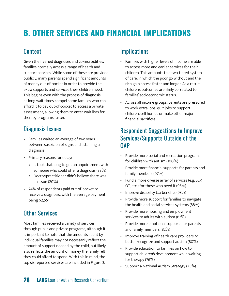## <span id="page-25-0"></span>**B. OTHER SERVICES AND FINANCIAL IMPLICATIONS**

## **Context**

Given their varied diagnoses and co-morbidities, families normally access a range of health and support services. While some of these are provided publicly, many parents spend significant amounts of money out-of-pocket in order to provide the extra supports and services their children need. This begins even with the process of diagnosis, as long wait times compel some families who can afford it to pay out-of-pocket to access a private assessment, allowing them to enter wait lists for therapy programs faster.

## Diagnosis Issues

- Families waited an average of two years between suspicion of signs and attaining a diagnosis
- Primary reasons for delay:
	- » It took that long to get an appointment with someone who could offer a diagnosis (33%)
	- » Doctor/practitioner didn't believe there was an issue (20%)
- 24% of respondents paid out-of-pocket to receive a diagnosis, with the average payment being \$2,551

## Other Services

Most families received a variety of services through public and private programs, although it is important to note that the amounts spent by individual families may not necessarily reflect the amount of support needed by the child, but likely also reflects the amount of money the family felt they could afford to spend. With this in mind, the top six reported services are included in Figure 3.

## **Implications**

- Families with higher levels of income are able to access more and earlier services for their children. This amounts to a two-tiered system of care, in which the poor go without and the rich gain access faster and longer. As a result, children's outcomes are likely correlated to families' socioeconomic status.
- Across all income groups, parents are pressured to work extra jobs, quit jobs to support children, sell homes or make other major financial sacrifices.

## Respondent Suggestions to Improve Services/Supports Outside of the **OAP**

- Provide more social and recreation programs for children with autism (100%)
- Provide more financial supports for parents and family members (97%)
- Fund a more diverse array of services (e.g. SLP, OT, etc.) for those who need it (95%)
- Improve disability tax benefits (93%)
- Provide more support for families to navigate the health and social services systems (88%)
- Provide more housing and employment services to adults with autism (82%)
- Provide more emotional supports for parents and family members (82%)
- Improve training of health care providers to better recognize and support autism (80%)
- Provide education to families on how to support children's development while waiting for therapy (76%)
- Support a National Autism Strategy (75%)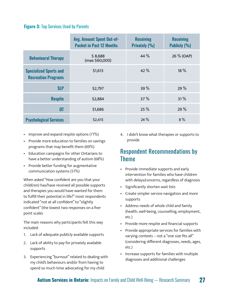#### **Figure 3:** Top Services Used by Parents

|                                                             | <b>Avg. Amount Spent Out-of-</b><br><b>Pocket in Past 12 Months</b> | <b>Receiving</b><br>Privately (%) | <b>Receiving</b><br>Publicly (%) |
|-------------------------------------------------------------|---------------------------------------------------------------------|-----------------------------------|----------------------------------|
| <b>Behavioural Therapy</b>                                  | \$8,688<br>(max \$60,000)                                           | 44 $%$                            | 26 % (OAP)                       |
| <b>Specialized Sports and</b><br><b>Recreation Programs</b> | \$1,613                                                             | 42 %                              | $18\%$                           |
| <b>SLP</b>                                                  | \$2,797                                                             | 39%                               | 29 %                             |
| <b>Respite</b>                                              | \$2,884                                                             | 37%                               | 31%                              |
| 0T                                                          | \$1,686                                                             | 25%                               | 29%                              |
| <b>Psychological Services</b>                               | \$2,415                                                             | 24%                               | 8%                               |

- Improve and expand respite options (71%)
- Provide more education to families on savings programs that may benefit them (69%)
- Education campaigns for other Ontarians to have a better understanding of autism (68%)
- Provide better funding for augmentative communication systems (51%)

When asked "How confident are you that your child(ren) has/have received all possible supports and therapies you would have wanted for them to fulfill their potential in life?" most respondents indicated "not at all confident" to "slightly confident" (the lowest two responses on a fivepoint scale).

The main reasons why participants felt this way included:

- 1. Lack of adequate publicly available supports
- 2. Lack of ability to pay for privately available supports
- 3. Experiencing "burnout" related to dealing with my child's behaviours and/or from having to spend so much time advocating for my child

4. I didn't know what therapies or supports to provide

## Respondent Recommendations by Theme

- Provide immediate supports and early intervention for families who have children with delays/concerns, regardless of diagnosis
- Significantly shorten wait lists
- Create simpler service navigation and more supports
- Address needs of whole child and family (health, well-being, counselling, employment, etc.)
- Provide more respite and financial supports
- Provide appropriate services for families with varying contexts – not a "one size fits all" (considering different diagnoses, needs, ages, etc.)
- Increase supports for families with multiple diagnoses and additional challenges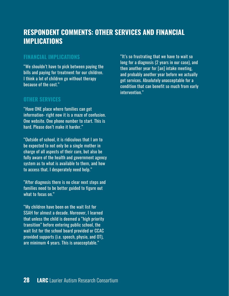## **RESPONDENT COMMENTS: OTHER SERVICES AND FINANCIAL IMPLICATIONS**

#### **FINANCIAL IMPLICATIONS**

"We shouldn't have to pick between paying the bills and paying for treatment for our children. I think a lot of children go without therapy because of the cost."

#### **OTHER SERVICES**

"Have ONE place where families can get information- right now it is a maze of confusion. One website. One phone number to start. This is hard. Please don't make it harder."

"Outside of school, it is ridiculous that I am to be expected to not only be a single mother in charge of all aspects of their care, but also be fully aware of the health and government agency system as to what is available to them, and how to access that. I desperately need help."

"After diagnosis there is no clear next steps and families need to be better guided to figure out what to focus on."

"My children have been on the wait list for SSAH for almost a decade. Moreover, I learned that unless the child is deemed a "high priority transition" before entering public school, the wait list for the school board provided or CCAC provided supports (i.e. speech, physio, and OT), are minimum 4 years. This is unacceptable."

"It's so frustrating that we have to wait so long for a diagnosis (2 years in our case), and then another year for [an] intake meeting, and probably another year before we actually get services. Absolutely unacceptable for a condition that can benefit so much from early intervention."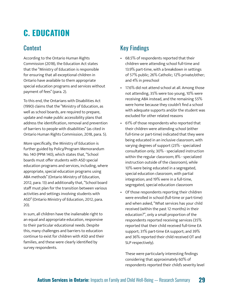## <span id="page-28-0"></span>**C. EDUCATION**

## **Context**

According to the Ontario Human Rights Commission (2018), the Education Act states that the "Ministry of Education is responsible for ensuring that all exceptional children in Ontario have available to them appropriate special education programs and services without payment of fees" (para. 2).

To this end, the Ontarians with Disabilities Act (1990) claims that the "Ministry of Education, as well as school boards, are required to prepare, update and make public accessibility plans that address the identification, removal and prevention of barriers to people with disabilities" (as cited in Ontario Human Rights Commission, 2018, para. 5).

More specifically, the Ministry of Education is further guided by Policy/Program Memorandum No. 140 (PPM 140), which states that, "School boards must offer students with ASD special education programs and services, including, where appropriate, special education programs using ABA methods" (Ontario Ministry of Education, 2012, para. 13) and additionally that, "School board staff must plan for the transition between various activities and settings involving students with ASD" (Ontario Ministry of Education, 2012, para. 20).

In sum, all children have the inalienable right to an equal and appropriate education, responsive to their particular educational needs. Despite this, many challenges and barriers to education continue to exist for children with ASD and their families, and these were clearly identified by survey respondents.

## Key Findings

- 68.5% of respondents reported that their children were attending school full-time and 13.9% part-time, with a breakdown in settings of 57% public; 26% Catholic; 12% private/other; and 4% in preschool
- 17.6% did not attend school at all. Among those not attending, 35% were too young, 10% were receiving ABA instead, and the remaining 55% were home because they couldn't find a school with adequate supports and/or the student was excluded for other related reasons
- 61% of those respondents who reported that their children were attending school (either full-time or part-time) indicated that they were being educated in an inclusive classroom, with varying degrees of support (23% - specialized consultation only; 30% - specialized instruction within the regular classroom; 8% - specialized instruction outside of the classroom), while 10% were being educated in a segregated, special education classroom, with partial integration; and 19% were in a full-time, segregated, special education classroom
- Of those respondents reporting their children were enrolled in school (full-time or part-time) and when asked, "What services has your child received (within the past 12 months) in their education?", only a small proportion of the respondents reported receiving services (35% reported that their child received full-time EA support; 31% part-time EA support; and 39% and 36% reported their child received OT and SLP respectively).

These were particularly interesting findings considering that approximately 60% of respondents reported their child's severity level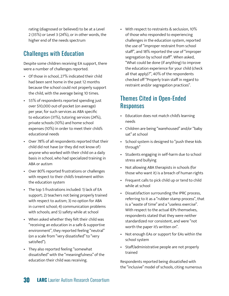rating (diagnosed or believed) to be at a Level 2 (35%) or Level 3 (24%), or in other words, the higher end of the needs spectrum

## Challenges with Education

Despite some children receiving EA support, there were a number of challenges reported.

- Of those in school, 27% indicated their child had been sent home in the past 12 months because the school could not properly support the child, with the average being 10 times.
- 55% of respondents reported spending just over \$10,000 out-of-pocket (on average) per year, for such services as ABA specific to education (31%), tutoring services (24%), private schools (10%) and home school expenses (10%) in order to meet their child's educational needs
- Over 78% of all respondents reported that their child did not have (or they did not know of) anyone who worked with their child on a daily basis in school, who had specialized training in ABA or autism
- Over 80% reported frustrations or challenges with respect to their child's treatment within the education system
- The top 5 frustrations included: 1) lack of EA support; 2) teachers not being properly trained with respect to autism; 3) no option for ABA in current school; 4) communication problems with schools; and 5) safety while at school
- When asked whether they felt their child was "receiving an education in a safe & supportive environment", they reported feeling "neutral" (on a scale from "very dissatisfied" to "very satisfied").
- They also reported feeling "somewhat dissatisfied" with the "meaningfulness" of the education their child was receiving.

• With respect to restraints & seclusion, 10% of those who responded to experiencing challenges in the education system, reported the use of "improper restraint from school staff", and 18% reported the use of "improper segregation by school staff". When asked, "What could be done (if anything) to improve the education experience for your child (check all that apply)?", 40% of the respondents checked off "Properly train staff in regard to restraint and/or segregation practices".

## Themes Cited in Open-Ended **Responses**

- Education does not match child's learning needs
- Children are being "warehoused" and/or "baby sat" at school
- School system is designed to "push these kids through"
- Students engaging in self-harm due to school stress and bullying
- Not allowing ABA therapists in schools (for those who want it) is a breach of human rights
- Frequent calls to pick child up or tend to child while at school
- Dissatisfaction surrounding the IPRC process, referring to it as a "rubber stamp process", that is a "waste of time" and a "useless exercise". With respect to the actual IEPs themselves, respondents stated that they were neither standardized nor consistent, and were "not worth the paper it's written on".
- Not enough EAs or support for EAs within the school system
- Staff/administrative people are not properly trained

Respondents reported being dissatisfied with the "inclusive" model of schools, citing numerous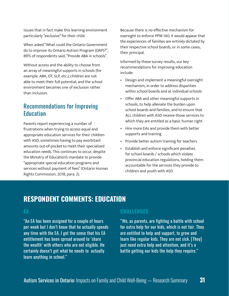issues that in fact make this learning environment particularly "exclusive" for their child.

When asked "What could the Ontario Government do to improve its Ontario Autism Program (OAP)?", 89% of respondents said, "Provide ABA in schools".

Without access and the ability to choose from an array of meaningful supports in schools (for example: ABA, OT, SLP, etc.), children are not able to meet their full potential, and the school environment becomes one of exclusion rather than inclusion.

## Recommendations for Improving Education

Parents report experiencing a number of frustrations when trying to access equal and appropriate education services for their children with ASD, sometimes having to pay exorbitant amounts out-of-pocket to meet their specialized education needs. This continues to occur, despite the Ministry of Education's mandate to provide "appropriate special education programs and services without payment of fees" (Ontario Human Rights Commission, 2018, para. 2).

Because there is no effective mechanism for oversight to enforce PPM 140, it would appear that the experiences of families are entirely dictated by their respective school boards, or in some cases, their principal.

Informed by these survey results, our key recommendations for improving education include:

- Design and implement a meaningful oversight mechanism, in order to address disparities within school boards and at individual schools
- Offer ABA and other meaningful supports in schools, to help alleviate the burden upon school boards and families, and to ensure that ALL children with ASD receive those services to which they are entitled as a basic human right
- Hire more EAs and provide them with better supports and training
- Provide better autism training for teachers
- Establish and enforce significant penalties for school boards / schools which violate provincial education regulations, holding them accountable for the services they provide to children and youth with ASD

## **RESPONDENT COMMENTS: EDUCATION**

#### **EA**

"An EA has been assigned for a couple of hours per week but I don't know that he actually spends any time with the EA. I get the sense that his EA entitlement has been spread around to 'share the wealth' with others who are not eligible. He certainly doesn't get what he needs to actually learn anything in school."

#### **CHALLENGES**

"We, as parents, are fighting a battle with school for extra help for our kids, which is not fair. They are entitled to help and support, to grow and learn like regular kids. They are not sick. [They] just need extra help and attention, and it's a battle getting our kids the help they require."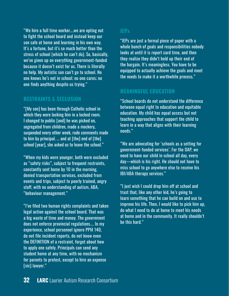"We hire a full time worker….we are opting not to fight the school board and instead keep our son safe at home and learning in his own way. It's a fortune, but it's so much better than the stress of school (which he can't do). So, basically, we've given up on everything government-funded because it doesn't exist for us. There is literally no help. My autistic son can't go to school. No one knows he's not in school; no one cares; no one finds anything despite us trying."

#### **RESTRAINTS & SECLUSION**

"[My son] has been through Catholic school in which they were locking him in a locked room. I changed to public [and] he was picked on, segregated from children, made a mockery, suspended every other week, rude comments made to him by principal. … and at [the] end of [the] school [year], she asked us to leave the school."

"When my kids were younger, both were excluded as "safety risks", subject to frequent restraints, constantly sent home by 10 in the morning, denied transportation services, excluded from events and trips, subject to poorly trained, angry staff, with no understanding of autism, ABA, "behaviour management."

"I've filed two human rights complaints and taken legal action against the school board. That was a big waste of time and money. The government does not enforce provincial regulations.... In my experience, school personnel ignore PPM 140, do not file incident reports, do not know even the DEFINITION of a restraint, forget about how to apply one safely. Principals can send any student home at any time, with no mechanism for parents to protest, except to hire an expense [sic] lawyer."

#### **IEPs**

"IEPs are just a formal piece of paper with a whole bunch of goals and responsibilities nobody looks at until it is report card time, and then they realize they didn't hold up their end of the bargain. It's meaningless. You have to be equipped to actually achieve the goals and meet the needs to make it a worthwhile process."

#### **MEANINGFUL EDUCATION**

"School boards do not understand the difference between equal right to education and equitable education. My child has equal access but not teaching approaches that support the child to learn in a way that aligns with their learning needs."

"We are advocating for 'schools as a setting for government-funded services'. For the OAP, we need to have our child in school all day, every day—which is his right. He should not have to miss school to go anywhere else to receive his IBI/ABA therapy services."

"I just wish I could drop him off at school and trust that, like any other kid, he's going to learn something that he can build on and use to improve his life. Then, I would like to pick him up, do what I need to do at home to meet his needs at home and in the community. It really shouldn't be this hard."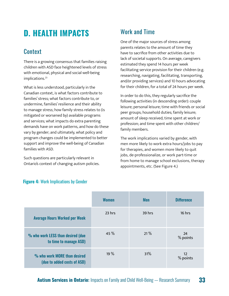## <span id="page-32-0"></span>**D. HEALTH IMPACTS**

## **Context**

There is a growing consensus that families raising children with ASD face heightened levels of stress with emotional, physical and social well-being implications.<sup>23</sup>

What is less understood, particularly in the Canadian context, is what factors contribute to families' stress; what factors contribute to, or undermine, families' resilience and their ability to manage stress; how family stress relates to (is mitigated or worsened by) available programs and services; what impacts do extra parenting demands have on work patterns, and how do these vary by gender; and ultimately, what policy and program changes could be implemented to better support and improve the well-being of Canadian families with ASD.

Such questions are particularly relevant in Ontario's context of changing autism policies.

## Work and Time

One of the major sources of stress among parents relates to the amount of time they have to sacrifice from other activities due to lack of societal supports. On average, caregivers estimated they spend 14 hours per week facilitating service provision for their children (e.g. researching, navigating, facilitating, transporting, and/or providing services) and 10 hours advocating for their children, for a total of 24 hours per week.

In order to do this, they regularly sacrifice the following activities (in descending order): couple leisure; personal leisure; time with friends or social peer groups; household duties; family leisure; amount of sleep received; time spent at work or profession; and time spent with other children/ family members.

The work implications varied by gender, with men more likely to work extra hours/jobs to pay for therapies, and women more likely to quit jobs, de-professionalize, or work part-time or from home to manage school exclusions, therapy appointments, etc. (See Figure 4.)

|                                                             | <b>Women</b> | <b>Men</b> | <b>Difference</b>           |
|-------------------------------------------------------------|--------------|------------|-----------------------------|
| <b>Average Hours Worked per Week</b>                        | 23 hrs       | 39 hrs     | 16 hrs                      |
| % who work LESS than desired (due<br>to time to manage ASD) | 45%          | 21%        | -24<br>% points             |
| % who work MORE than desired<br>(due to added costs of ASD) | 19 %         | 31%        | 12 <sup>2</sup><br>% points |

#### **Figure 4:** Work Implications by Gender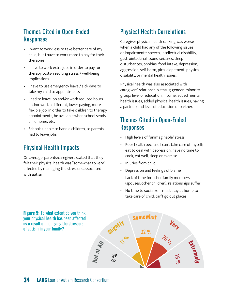## Themes Cited in Open-Ended Responses

- I want to work less to take better care of my child, but I have to work more to pay for their therapies
- I have to work extra jobs in order to pay for therapy costs- resulting stress / well-being implications
- I have to use emergency leave / sick days to take my child to appointments
- I had to leave job and/or work reduced hours and/or work a different, lower paying, more flexible job, in order to take children to therapy appointments, be available when school sends child home, etc.
- Schools unable to handle children, so parents had to leave jobs

## Physical Health Impacts

On average, parents/caregivers stated that they felt their physical health was "somewhat to very" affected by managing the stressors associated with autism.

## Physical Health Correlations

Caregiver physical health ranking was worse when a child had any of the following issues or impairments: speech, intellectual disability, gastrointestinal issues, seizures, sleep disturbances, phobias, food intake, depression, aggression, self-harm, pica, elopement, physical disability, or mental health issues.

Physical health was also associated with caregivers' relationship status; gender; minority group; level of education; income; added mental health issues; added physical health issues; having a partner; and level of education of partner.

## Themes Cited in Open-Ended Responses

- High levels of "unimaginable" stress
- Poor health because I can't take care of myself; eat to deal with depression; have no time to cook, eat well, sleep or exercise
- Injuries from child
- Depression and feelings of blame
- Lack of time for other family members (spouses, other children); relationships suffer
- No time to socialize must stay at home to take care of child; can't go out places

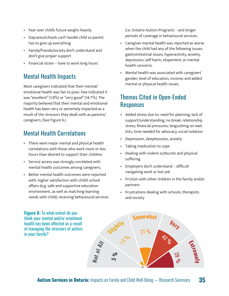- Fear over child's future weighs heavily
- Daycares/schools can't handle child so parent has to give up everything
- Family/friends/society don't understand and don't give proper support
- Financial strain have to work long hours

## Mental Health Impacts

Most caregivers indicated that their mental/ emotional health was fair to poor. Few indicated it was "excellent" (1.8%) or "very good" (14.7%). The majority believed that their mental and emotional health has been very or extremely impacted as a result of the stressors they dealt with as parents/ caregivers. (See Figure 6.)

# Mental Health Correlations **Slightl<sup>y</sup>**

- There were major mental and physical health 32 % correlations with those who work more or less hours than desired to support their children. **All**
- Service access was strongly correlated with **at** mental health outcomes among caregivers.
- Better mental health outcomes were reported with: higher satisfaction with child's school affairs (e.g. safe and supportive education environment, as well as matching learning needs with child); receiving behavioural services

(i.e. Ontario Autism Program) – and longer periods of coverage in behavioural services.

- Caregiver mental health was reported as worse when the child had any of the following issues: gastrointestinal issues, hyperactivity, anxiety, depression, self-harm, elopement, or mental health concerns.
- Mental health was associated with caregivers' gender; level of education; income; and added mental or physical health issues.

## Themes Cited in Open-Ended Responses

- Added stress due to: need for planning, lack of support/understanding, no break, relationship stress, financial pressures, languishing on wait lists, time needed for advocacy, social isolation
- Depression, sleeplessness, anxiety **<sup>V</sup>er<sup>y</sup>**
- Taking medication to cope  $\frac{1}{2}$ 
	- Dealing with violent outbursts and physical suffering • Dealing with violent outbursts and phy<br>
	suffering<br>
	• Employers don't understand – difficult
	- navigating work or lost job **y** %
	- Friction with other children in the family and/or partners
	- Frustrations dealing with schools, therapists and society

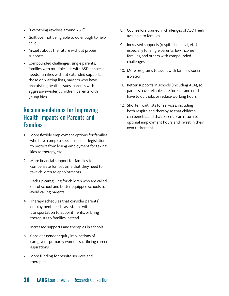- "Everything revolves around ASD"
- Guilt over not being able to do enough to help child
- Anxiety about the future without proper supports
- Compounded challenges: single parents, families with multiple kids with ASD or special needs, families without extended support, those on waiting lists, parents who have preexisting health issues, parents with aggressive/violent children, parents with young kids

## Recommendations for Improving Health Impacts on Parents and Families

- 1. More flexible employment options for families who have complex special needs – legislation to protect from losing employment for taking kids to therapy, etc.
- 2. More financial support for families to compensate for lost time that they need to take children to appointments
- 3. Back-up caregiving for children who are called out of school and better equipped schools to avoid calling parents
- 4. Therapy schedules that consider parents' employment needs, assistance with transportation to appointments, or bring therapists to families instead
- 5. Increased supports and therapies in schools
- 6. Consider gender equity implications of caregivers, primarily women, sacrificing career aspirations
- 7. More funding for respite services and therapies
- 8. Counsellors trained in challenges of ASD freely available to families
- 9. Increased supports (respite, financial, etc.) especially for single parents, low income families, and others with compounded challenges
- 10. More programs to assist with families' social isolation
- 11. Better supports in schools (including ABA), so parents have reliable care for kids and don't have to quit jobs or reduce working hours
- 12. Shorten wait lists for services, including both respite and therapy so that children can benefit, and that parents can return to optimal employment hours and invest in their own retirement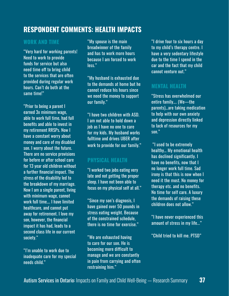## **RESPONDENT COMMENTS: HEALTH IMPACTS**

#### **WORK AND TIME**

"Very hard for working parents! Need to work to provide funds for service but also need time off to bring child to the services that are often provided during regular work hours. Can't do both at the same time!"

"Prior to being a parent I earned 3x minimum wage, able to work full time, had full benefits and able to invest in my retirement RRSPs. Now I have a constant worry about money and care of my disabled son. I worry about the future. There are no service provisions for before or after school care for 13 year old children without a further financial impact. The stress of the disability led to the breakdown of my marriage. Now I am a single parent, living with minimum wage, cannot work full time…. I have limited healthcare, and cannot put away for retirement. I love my son, however, the financial impact it has had, leads to a second class life in our current society."

"I'm unable to work due to inadequate care for my special needs child."

"My spouse is the main breadwinner of the family and has to work more hours because I am forced to work less."

"My husband is exhausted due to the demands at home but he cannot reduce his hours since we need the money to support our family."

"I have two children with ASD. I am not able to hold down a job as I have no one to care for my kids. My husband works fulltime and drives UBER after work to provide for our family."

#### **PHYSICAL HEALTH**

"I worked two jobs eating very late and not getting the proper sleep. I have not been able to focus on my physical self at all."

"Since my son's diagnosis, I have gained over 50 pounds in stress eating weight. Because of the constrained schedule, there is no time for exercise."

"We are exhausted having to care for our son. He is becoming more difficult to manage and we are constantly in pain from carrying and often restraining him."

"I drive four to six hours a day to my child's therapy centre. I have a very sedentary lifestyle due to the time I spend in the car and the fact that my child cannot venture out."

#### **MENTAL HEALTH**

"Stress has overwhelmed our entire family…. (We—the parents)…are taking medication to help with our own anxiety and depression directly linked to lack of resources for my son."

 "I used to be extremely healthy… My emotional health has declined significantly. I have no benefits, now that I no longer work full time. Sad irony is that this is now when I need it the most. No money for therapy etc. and no benefits. No time for self care. A luxury the demands of raising these children does not allow."

"I have never experienced this amount of stress in my life..."

"Child tried to kill me. PTSD"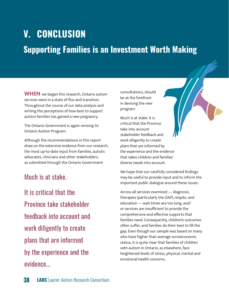# <span id="page-37-0"></span>**V. CONCLUSION Supporting Families is an Investment Worth Making**

**WHEN** we began this research, Ontario autism services were in a state of flux and transition. Throughout the course of our data analysis and writing the perceptions of how best to support autism families has gained a new poignancy.

The Ontario Government is again revising its Ontario Autism Program.

Although the recommendations in this report draw on the extensive evidence from our research, the most up-to-date input from families, autistic advocates, clinicians and other stakeholders, as submitted through the Ontario Government

## Much is at stake.

It is critical that the Province take stakeholder feedback into account and work diligently to create plans that are informed by the experience and the evidence...

consultations, should be at the forefront in devising the new program.

Much is at stake. It is critical that the Province take into account stakeholder feedback and work diligently to create plans that are informed by the experience and the evidence that takes children and families' diverse needs into account.

We hope that our carefully considered findings may be useful to provide input and to inform the important public dialogue around these issues.

Across all services examined — diagnosis, therapies (particularly the OAP), respite, and education — wait times are too long, and/ or services are insufficient to provide the comprehensive and effective supports that families need. Consequently, children's outcomes often suffer, and families do their best to fill the gap. Even though our sample was based on many who have higher than average socioeconomic status, it is quite clear that families of children with autism in Ontario, as elsewhere, face heightened levels of stress, physical, mental and emotional health concerns.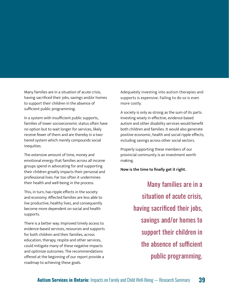Many families are in a situation of acute crisis, having sacrificed their jobs, savings and/or homes to support their children in the absence of sufficient public programming.

In a system with insufficient public supports, families of lower socioeconomic status often have no option but to wait longer for services, likely receive fewer of them and are thereby in a twotiered system which merely compounds social inequities.

The extensive amount of time, money and emotional energy that families across all income groups spend in advocating for and supporting their children greatly impacts their personal and professional lives. Far too often it undermines their health and well-being in the process.

This, in turn, has ripple effects in the society and economy. Affected families are less able to live productive, healthy lives, and consequently become more dependent on social and health supports.

There is a better way. Improved timely access to evidence-based services, resources and supports for both children and their families, across education, therapy, respite and other services, could mitigate many of these negative impacts and optimize outcomes. The recommendations offered at the beginning of our report provide a roadmap to achieving these goals.

Adequately investing into autism therapies and supports is expensive. Failing to do so is even more costly.

A society is only as strong as the sum of its parts. Investing wisely in effective, evidence-based autism and other disability services would benefit both children and families. It would also generate positive economic, health and social ripple effects, including savings across other social sectors.

Properly supporting these members of our provincial community is an investment worth making.

**Now is the time to finally get it right.** 

Many families are in a situation of acute crisis, having sacrificed their jobs, savings and/or homes to support their children in the absence of sufficient public programming.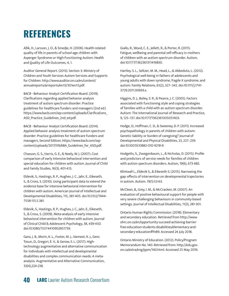## <span id="page-39-0"></span>**REFERENCES**

Allik, H., Larsson, J. O., & Smedje, H. (2006). Health-related quality of life in parents of school-age children with Asperger Syndrome or High-Functioning Autism. Health and Quality of Life Outcomes, 4, 1.

Auditor General Report. (2013). Section 3: Ministry of Children and Youth Services Autism Services and Supports for Children. http://www.auditor.on.ca/en/content/ annualreports/arreports/en13/301en13.pdf.

BACB - Behaviour Analyst Certification Board. (2019). Clarifications regarding applied behavior analysis treatment of autism spectrum disorder: Practice guidelines for healthcare funders and managers (2nd ed.) https://www.bacb.com/wp-content/uploads/Clarifications\_ ASD Practice Guidelines 2nd ed.pdf.

BACB - Behaviour Analyst Certification Board. (2014). Applied behavior analysis treatment of autism spectrum disorder: Practice guidelines for healthcare funders and managers, Second Edition, https://www.bacb.com/wpcontent/uploads/2017/09/ABA\_Guidelines\_for\_ASD.pdf.

Chasson, G. S., Harris, G. E., & Neely, W. J. (2007). Cost comparison of early intensive behavioral intervention and special education for children with autism. Journal of Child and Family Studies, 16(3), 401-413.

Eldevik, S., Hastings, R. P., Hughes, J. C., Jahr, E., Eikeseth, S., & Cross, S. (2010). Using participant data to extend the evidence base for intensive behavioral intervention for children with autism. American Journal of Intellectual and Developmental Disabilities, 115, 381-405. doi:10.1352/1944- 7558-115.5.381.

Eldevik, S., Hastings, R. P., Hughes, J. C., Jahr, E., Eikeseth, S., & Cross, S. (2009). Meta-analysis of early intensive behavioral intervention for children with autism. Journal of Clinical Child & Adolescent Psychology, 38, 439-450. doi:10.1080/15374410902851739.

Ganz, J. B., Morin, K. L., Foster, M. J., Vannest, K. J., Genc Tosun, D., Gregori, E. V., & Gerow, S. L. (2017). Hightechnology augmentative and alternative communication for individuals with intellectual and developmental disabilities and complex communication needs: A metaanalysis. Augmentative and Alternative Communication, 33(4),224-238.

Giallo, R., Wood, C. E., Jellett, R., & Porter, R. (2011). Fatigue, wellbeing and parental self-efficacy in mothers of children with an autism spectrum disorder. Autism. doi:10.1177/1362361311416830.

Hartley, S. L., Seltzer, M. M., Head, L., & Abbeduto, L. (2012). Psychological well-being in fathers of adolescents and young adults with down syndrome, fragile X syndrome, and autism. Family Relations, 61(2), 327–342. doi:10.1111/j.1741- 3729.2011.00693.x.

Higgins, D. J., Bailey, S. R., & Pearce, J. C. (2005). Factors associated with functioning style and coping strategies of families with a child with an autism spectrum disorder. Autism: The International Journal of Research and Practice, 9, 125–137. doi:10.1177/1362361305051403.

Hodge, D., Hoffman, C. D., & Sweeney, D. P. (2011). Increased psychopathology in parents of children with autism: Genetic liability or burden of caregiving? Journal of Developmental and Physical Disabilities, 23, 227–239. doi:10.1007/s10882-010-9218-9.

Hodgetts, S., Zwaigenbaum, L., & Nicholas, D. (2015). Profile and predictors of service needs for families of children with autism spectrum disorders. Autism, 19(6), 673-683.

Klintwall L., Eldevik S., & Eikeseth S. (2015). Narrowing the gap: effects of intervention on developmental trajectories in autism. Autism. 19(1):53-63.

McClean, B., Grey, I. M., & McCracken, M. (2007). An evaluation of positive behavioural support for people with very severe challenging behaviours in community-based settings. Journal of Intellectual Disabilities, 11(3), 281-301.

Ontario Human Rights Commission. (2018). Elementary and secondary education. Retrieved from http://www. ohrc.on.ca/en/opportunity-succeed-achieving-barrierfree-education-students-disabilities/elementary-andsecondary-education#fnB9. Accessed 24 July 2018.

Ontario Ministry of Education. (2012). Policy/Program Memorandum No. 140. Retrieved from: http://edu.gov. on.ca/extra/eng/ppm/140.html. Accessed 25 May 2019.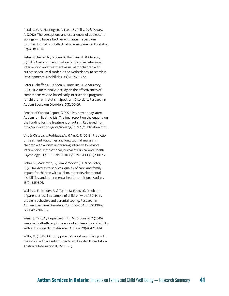Petalas, M. A., Hastings R. P., Nash, S., Reilly, D., & Dowey, A. (2012). The perceptions and experiences of adolescent siblings who have a brother with autism spectrum disorder. Journal of Intellectual & Developmental Disability, 37(4), 303-314.

Peters-Scheffer, N., Didden, R., Korzilius, H., & Matson, J. (2012). Cost comparison of early intensive behavioral intervention and treatment as usual for children with autism spectrum disorder in the Netherlands. Research in Developmental Disabilities, 33(6), 1763-1772.

Peters-Scheffer, N., Didden, R., Korzilius, H., & Sturmey, P. (2011). A meta-analytic study on the effectiveness of comprehensive ABA-based early intervention programs for children with Autism Spectrum Disorders. Research in Autism Spectrum Disorders, 5(1), 60-69.

Senate of Canada Report. (2007). Pay now or pay later: Autism families in crisis: The final report on the enquiry on the funding for the treatment of autism. Retrieved from http://publications.gc.ca/site/eng/318973/publication.html.

Virués-Ortega, J., Rodríguez, V., & Yu, C. T. (2013). Prediction of treatment outcomes and longitudinal analysis in children with autism undergoing intensive behavioral intervention. International Journal of Clinical and Health Psychology, 13, 91-100. doi:10.1016/S1697-2600(13)70012-7.

Vohra, R., Madhaven, S., Sambamoorthi, U., & St. Peter, C. (2014). Access to services, quality of care, and family impact for children with autism, other developmental disabilities, and other mental health conditions. Autism, 18(7), 815-826.

Walsh, C. E., Mulder, E., & Tudor, M. E. (2013). Predictors of parent stress in a sample of children with ASD: Pain, problem behavior, and parental coping. Research in Autism Spectrum Disorders, 7(2), 256–264. doi:10.1016/j. rasd.2012.08.010.

Weiss, J., Tint, A., Paquette-Smith, M., & Lunsky, Y. (2016). Perceived self-efficacy in parents of adolescents and adults with autism spectrum disorder. Autism, 20(4), 425-434.

Willis, M. (2016). Minority parents' narratives of living with their child with an autism spectrum disorder. Dissertation Abstracts International, 76,10-B(E).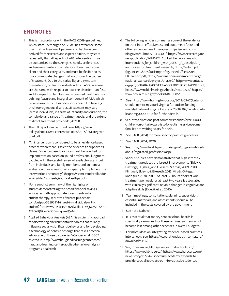#### **ENDNOTES**

- 1 This is in accordance with the BACB (2019) guidelines, which state: "Although the Guidelines reference some quantitative treatment parameters that have been derived from research and expert opinion, they state repeatedly that all aspects of ABA interventions must be customized to the strengths, needs, preferences, and environmental circumstances of each individual client and their caregivers, and must be flexible so as to accommodate changes that occur over the course of treatment. Due to the variability and symptom presentation, no two individuals with an ASD diagnosis are the same with respect to how the disorder manifests and its impact on families.…individualized treatment is a defining feature and integral component of ABA, which is one reason why it has been so successful in treating this heterogeneous disorder….Treatment may vary [across individuals] in terms of intensity and duration, the complexity and range of treatment goals, and the extent of direct treatment provided" (2019:1).
- 2 The full report can be found here: https://www. policyschool.ca/wp-content/uploads/2016/03/caregiverbrief.pdf.
- 3 "An intervention is considered to be an evidence-based practice when there is scientific evidence to support its claims. Evidence-based practices must be selected for implementation based on sound professional judgment, coupled with the careful review of available data, input from individuals and family members, and an honest evaluation of interventionists' capacity to implement the interventions accurately." (https://vkc.mc.vanderbilt.edu/ assets/files/tipsheets/ebptreatasdtips.pdf).
- 4 For a succinct summary of the highlights of studies demonstrating the broad financial savings associated with appropriate investments into autism therapy, see: https://create.piktochart. com/output/35892914-invest-in-individuals-withautism?fbclid=IwAR16-xHKmYD9lWdjBHlFW\_M0AbP54nT-ATFOYRJGkYicW535mxaj\_-mtQuM.
- 5 Applied Behaviour Analysis (ABA) "is a scientific approach for discovering environmental variables that reliably influence socially significant behavior and for developing a technology of behavior change that takes practical advantage of those discoveries" (Cooper et al., 2007, as cited in: http://www.hauglandlearningcenter.com/ haugland-learning-center-applied-behavior-analysisprograms-aba.html).
- 6 The following articles summarize some of the evidence on the clinical effectiveness and outcomes of ABA and other evidence-based therapies: https://www.ncbi.nlm. nih.gov/m/pubmed/19437303/; https://www.researchgate. net/publication/26816222 Applied behavior analytic interventions for children with autism A description and review of treatment research; https://autismpdc. fpg.unc.edu/sites/autismpdc.fpg.unc.edu/files/2014- EBP-Report.pdf; https://www.nationalautismcenter.org/ national-standards-project/phase-2/; http://www.ontaba. org/pdf/ONTABA%20OSETT-ASD%20REPORT%20WEB.pdf; https://www.ncbi.nlm.nih.gov/books/NBK79228/; https:// www.ncbi.nlm.nih.gov/books/NBK81385/.
- 7 See: https://www.huffingtonpost.ca/2019/03/07/ontarioshould-look-to-missouri-virginia-for-autism-fundingmodels-that-work-psychologists\_a\_23687292/?ncid=fcbkln kcahpmg00000008 for further details.
- 8 See: https://nationalpost.com/news/politics/over-16000 children-on-ontario-wait-lists-for-autism-services-somefamilies-are-waiting-years-for-help.
- 9 See BACB (2014) for more specific practice guidelines.
- 10 See BACB (2014, 2019).
- 11 See: http://www.health.gov.on.ca/en/pro/programs/hhrsd/ about/regulated\_professions.aspx.
- 12 Various studies have demonstrated that high-intensity treatment produces the largest improvements (Eldevik, Hastings, Hughes, Jahr, Eikeseth, & Cross, 2009, 2010; Klintwall, Eldevik, & Eikeseth, 2015; Virués-Ortega, Rodríguez, & Yu, 2013). At least 36 hours of direct ABA treatment per week for at least two years is associated with clinically significant, reliable changes in cognitive and adaptive skills (Eldevik et al., 2010).
- 13 Team meetings, consultations, planning, supervision, essential materials, and assessments should all be included in the costs covered by the government.
- 14 See note 1, above.
- 15 It is essential that money sent to school boards is specifically earmarked for these services, so they do not become lost among other expenses in overall budgets.
- 16 For more ideas on integrating evidence-based practices into schools, see: https://www.nationalautismcenter.org/ download/5155/.
- 17 See, for example, http://www.summit-school.com/, https://www.oakbridge.ca/, https://www.therecord.com/ news-story/9177262-spectrum-academy-expands-toprovide-specialized-classroom-for-autistic-students/.